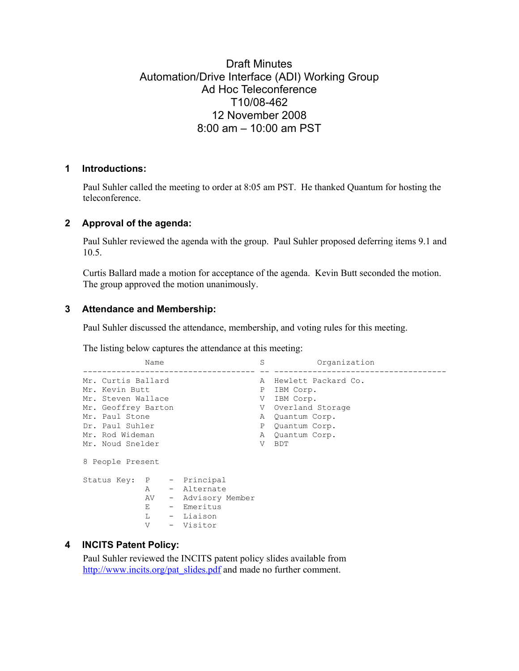# Draft Minutes Automation/Drive Interface (ADI) Working Group Ad Hoc Teleconference T10/08-462 12 November 2008 8:00 am – 10:00 am PST

#### **1 Introductions:**

Paul Suhler called the meeting to order at 8:05 am PST. He thanked Quantum for hosting the teleconference.

#### **2 Approval of the agenda:**

Paul Suhler reviewed the agenda with the group. Paul Suhler proposed deferring items 9.1 and 10.5.

Curtis Ballard made a motion for acceptance of the agenda. Kevin Butt seconded the motion. The group approved the motion unanimously.

#### **3 Attendance and Membership:**

Paul Suhler discussed the attendance, membership, and voting rules for this meeting.

The listing below captures the attendance at this meeting:<br>S

```
Name S<br>
S
S
Organization
 ------------------------------------ -- ------------------------------------ 
Mr. Curtis Ballard A Hewlett Packard Co.<br>
Mr. Kevin Butt A Hewlett Packard Co.<br>
Mr. Steven Wallace A V IBM Corp.
Mr. Kevin Butt P IBM Corp.
Mr. Steven Wallace V IBM Corp.
Mr. Geoffrey Barton National V Overland Storage
Mr. Paul Stone<br>
Dr. Paul Suhler<br>
Dr. Paul Suhler<br>
P Quantum Corp.
Dr. Paul Suhler P Quantum Corp.<br>
Mr. Rod Wideman Mr. A Quantum Corp.
                                     A Quantum Corp.<br>V BDT
Mr. Noud Snelder
8 People Present 
Status Key: P - Principal 
              A - Alternate 
              AV - Advisory Member 
              E - Emeritus 
             L - Liaison<br>V - Visitor
                  - Visitor
```
## **4 INCITS Patent Policy:**

Paul Suhler reviewed the INCITS patent policy slides available from http://www.incits.org/pat\_slides.pdf and made no further comment.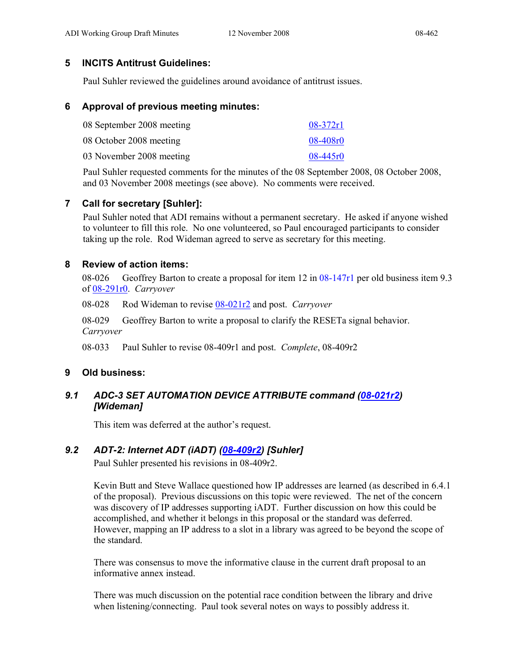## **5 INCITS Antitrust Guidelines:**

Paul Suhler reviewed the guidelines around avoidance of antitrust issues.

#### **6 Approval of previous meeting minutes:**

| 08 September 2008 meeting | $08-372r1$   |
|---------------------------|--------------|
| 08 October 2008 meeting   | 08-408r0     |
| 03 November 2008 meeting  | $08 - 445r0$ |

Paul Suhler requested comments for the minutes of the 08 September 2008, 08 October 2008, and 03 November 2008 meetings (see above). No comments were received.

## **7 Call for secretary [Suhler]:**

Paul Suhler noted that ADI remains without a permanent secretary. He asked if anyone wished to volunteer to fill this role. No one volunteered, so Paul encouraged participants to consider taking up the role. Rod Wideman agreed to serve as secretary for this meeting.

#### **8 Review of action items:**

08-026 Geoffrey Barton to create a proposal for item 12 in 08-147r1 per old business item 9.3 of 08-291r0. *Carryover*

08-028 Rod Wideman to revise 08-021r2 and post. *Carryover* 

08-029 Geoffrey Barton to write a proposal to clarify the RESETa signal behavior. *Carryover* 

08-033 Paul Suhler to revise 08-409r1 and post. *Complete*, 08-409r2

#### **9 Old business:**

## *9.1 ADC-3 SET AUTOMATION DEVICE ATTRIBUTE command (08-021r2) [Wideman]*

This item was deferred at the author's request.

#### *9.2 ADT-2: Internet ADT (iADT) (08-409r2) [Suhler]*

Paul Suhler presented his revisions in 08-409r2.

Kevin Butt and Steve Wallace questioned how IP addresses are learned (as described in 6.4.1 of the proposal). Previous discussions on this topic were reviewed. The net of the concern was discovery of IP addresses supporting iADT. Further discussion on how this could be accomplished, and whether it belongs in this proposal or the standard was deferred. However, mapping an IP address to a slot in a library was agreed to be beyond the scope of the standard.

There was consensus to move the informative clause in the current draft proposal to an informative annex instead.

There was much discussion on the potential race condition between the library and drive when listening/connecting. Paul took several notes on ways to possibly address it.